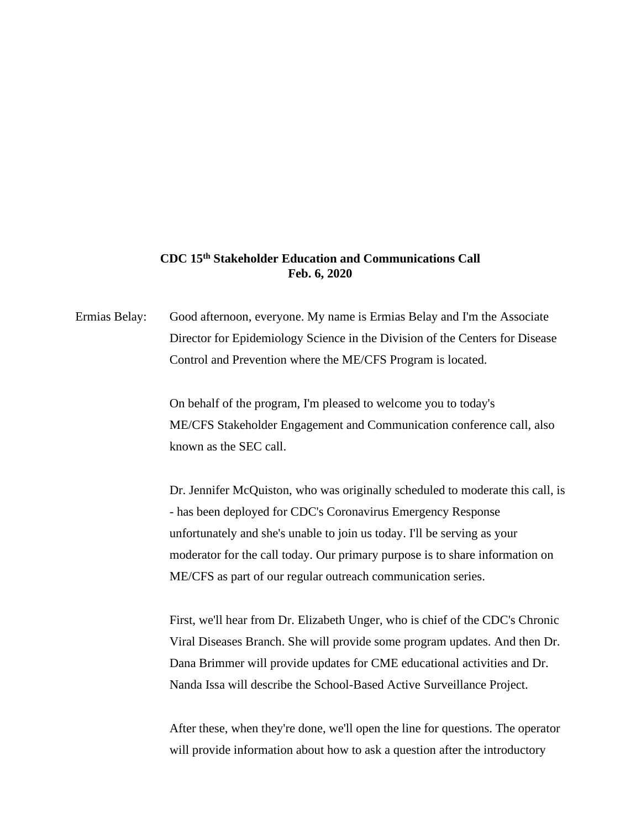## **CDC 15th Stakeholder Education and Communications Call Feb. 6, 2020**

Ermias Belay: Good afternoon, everyone. My name is Ermias Belay and I'm the Associate Director for Epidemiology Science in the Division of the Centers for Disease Control and Prevention where the ME/CFS Program is located.

> On behalf of the program, I'm pleased to welcome you to today's ME/CFS Stakeholder Engagement and Communication conference call, also known as the SEC call.

Dr. Jennifer McQuiston, who was originally scheduled to moderate this call, is - has been deployed for CDC's Coronavirus Emergency Response unfortunately and she's unable to join us today. I'll be serving as your moderator for the call today. Our primary purpose is to share information on ME/CFS as part of our regular outreach communication series.

First, we'll hear from Dr. Elizabeth Unger, who is chief of the CDC's Chronic Viral Diseases Branch. She will provide some program updates. And then Dr. Dana Brimmer will provide updates for CME educational activities and Dr. Nanda Issa will describe the School-Based Active Surveillance Project.

After these, when they're done, we'll open the line for questions. The operator will provide information about how to ask a question after the introductory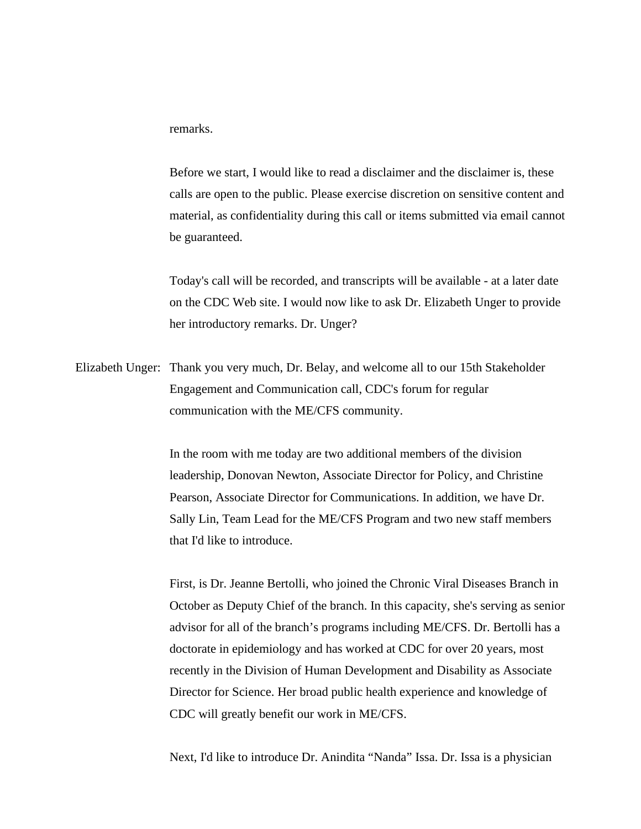remarks.

Before we start, I would like to read a disclaimer and the disclaimer is, these calls are open to the public. Please exercise discretion on sensitive content and material, as confidentiality during this call or items submitted via email cannot be guaranteed.

Today's call will be recorded, and transcripts will be available - at a later date on the CDC Web site. I would now like to ask Dr. Elizabeth Unger to provide her introductory remarks. Dr. Unger?

Elizabeth Unger: Thank you very much, Dr. Belay, and welcome all to our 15th Stakeholder Engagement and Communication call, CDC's forum for regular communication with the ME/CFS community.

> In the room with me today are two additional members of the division leadership, Donovan Newton, Associate Director for Policy, and Christine Pearson, Associate Director for Communications. In addition, we have Dr. Sally Lin, Team Lead for the ME/CFS Program and two new staff members that I'd like to introduce.

First, is Dr. Jeanne Bertolli, who joined the Chronic Viral Diseases Branch in October as Deputy Chief of the branch. In this capacity, she's serving as senior advisor for all of the branch's programs including ME/CFS. Dr. Bertolli has a doctorate in epidemiology and has worked at CDC for over 20 years, most recently in the Division of Human Development and Disability as Associate Director for Science. Her broad public health experience and knowledge of CDC will greatly benefit our work in ME/CFS.

Next, I'd like to introduce Dr. Anindita "Nanda" Issa. Dr. Issa is a physician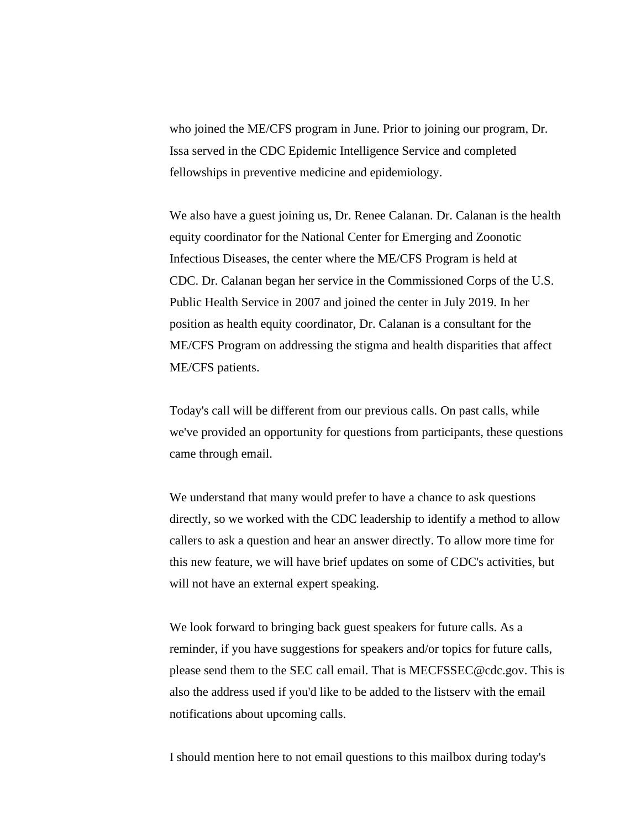who joined the ME/CFS program in June. Prior to joining our program, Dr. Issa served in the CDC Epidemic Intelligence Service and completed fellowships in preventive medicine and epidemiology.

We also have a guest joining us, Dr. Renee Calanan. Dr. Calanan is the health equity coordinator for the National Center for Emerging and Zoonotic Infectious Diseases, the center where the ME/CFS Program is held at CDC. Dr. Calanan began her service in the Commissioned Corps of the U.S. Public Health Service in 2007 and joined the center in July 2019. In her position as health equity coordinator, Dr. Calanan is a consultant for the ME/CFS Program on addressing the stigma and health disparities that affect ME/CFS patients.

Today's call will be different from our previous calls. On past calls, while we've provided an opportunity for questions from participants, these questions came through email.

We understand that many would prefer to have a chance to ask questions directly, so we worked with the CDC leadership to identify a method to allow callers to ask a question and hear an answer directly. To allow more time for this new feature, we will have brief updates on some of CDC's activities, but will not have an external expert speaking.

We look forward to bringing back guest speakers for future calls. As a reminder, if you have suggestions for speakers and/or topics for future calls, please send them to the SEC call email. That is MECFSSEC@cdc.gov. This is also the address used if you'd like to be added to the listserv with the email notifications about upcoming calls.

I should mention here to not email questions to this mailbox during today's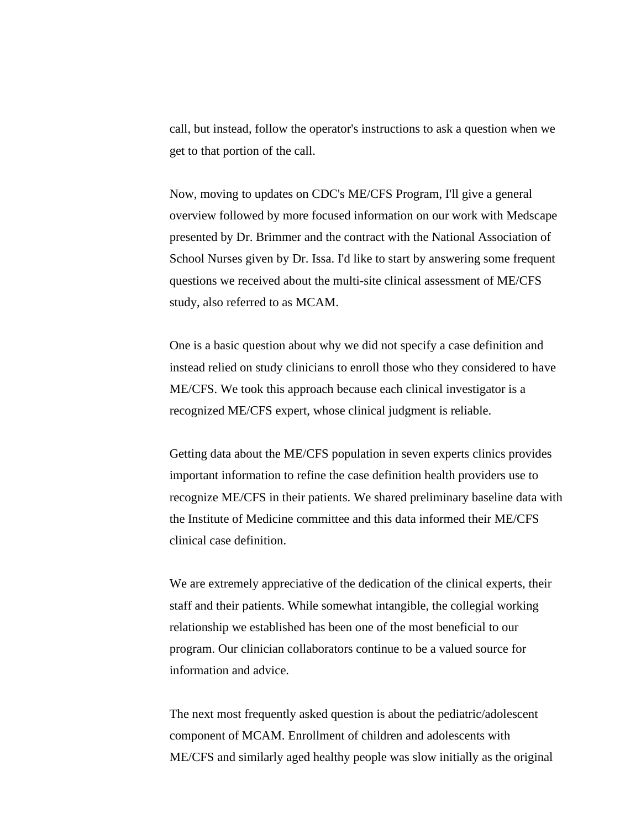call, but instead, follow the operator's instructions to ask a question when we get to that portion of the call.

Now, moving to updates on CDC's ME/CFS Program, I'll give a general overview followed by more focused information on our work with Medscape presented by Dr. Brimmer and the contract with the National Association of School Nurses given by Dr. Issa. I'd like to start by answering some frequent questions we received about the multi-site clinical assessment of ME/CFS study, also referred to as MCAM.

One is a basic question about why we did not specify a case definition and instead relied on study clinicians to enroll those who they considered to have ME/CFS. We took this approach because each clinical investigator is a recognized ME/CFS expert, whose clinical judgment is reliable.

Getting data about the ME/CFS population in seven experts clinics provides important information to refine the case definition health providers use to recognize ME/CFS in their patients. We shared preliminary baseline data with the Institute of Medicine committee and this data informed their ME/CFS clinical case definition.

We are extremely appreciative of the dedication of the clinical experts, their staff and their patients. While somewhat intangible, the collegial working relationship we established has been one of the most beneficial to our program. Our clinician collaborators continue to be a valued source for information and advice.

The next most frequently asked question is about the pediatric/adolescent component of MCAM. Enrollment of children and adolescents with ME/CFS and similarly aged healthy people was slow initially as the original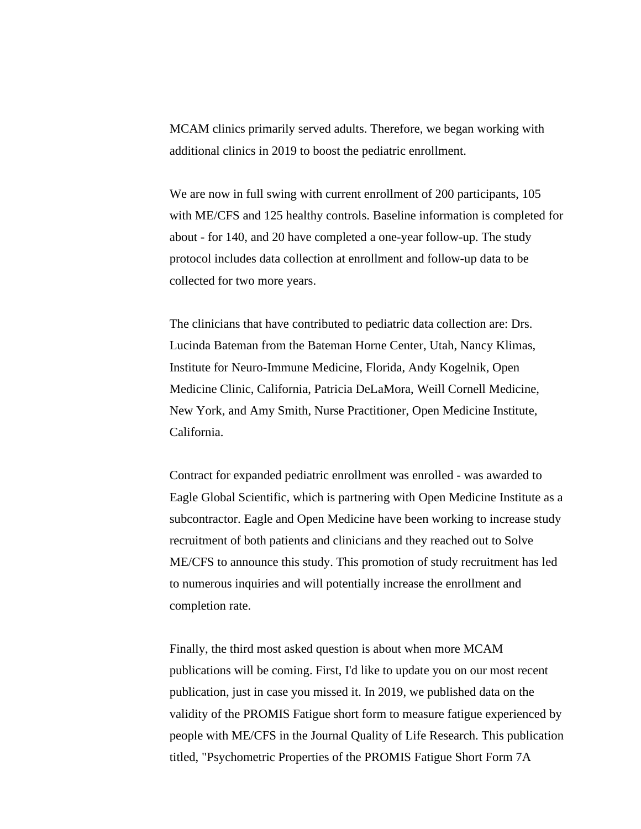MCAM clinics primarily served adults. Therefore, we began working with additional clinics in 2019 to boost the pediatric enrollment.

We are now in full swing with current enrollment of 200 participants, 105 with ME/CFS and 125 healthy controls. Baseline information is completed for about - for 140, and 20 have completed a one-year follow-up. The study protocol includes data collection at enrollment and follow-up data to be collected for two more years.

The clinicians that have contributed to pediatric data collection are: Drs. Lucinda Bateman from the Bateman Horne Center, Utah, Nancy Klimas, Institute for Neuro-Immune Medicine, Florida, Andy Kogelnik, Open Medicine Clinic, California, Patricia DeLaMora, Weill Cornell Medicine, New York, and Amy Smith, Nurse Practitioner, Open Medicine Institute, California.

Contract for expanded pediatric enrollment was enrolled - was awarded to Eagle Global Scientific, which is partnering with Open Medicine Institute as a subcontractor. Eagle and Open Medicine have been working to increase study recruitment of both patients and clinicians and they reached out to Solve ME/CFS to announce this study. This promotion of study recruitment has led to numerous inquiries and will potentially increase the enrollment and completion rate.

Finally, the third most asked question is about when more MCAM publications will be coming. First, I'd like to update you on our most recent publication, just in case you missed it. In 2019, we published data on the validity of the PROMIS Fatigue short form to measure fatigue experienced by people with ME/CFS in the Journal Quality of Life Research. This publication titled, "Psychometric Properties of the PROMIS Fatigue Short Form 7A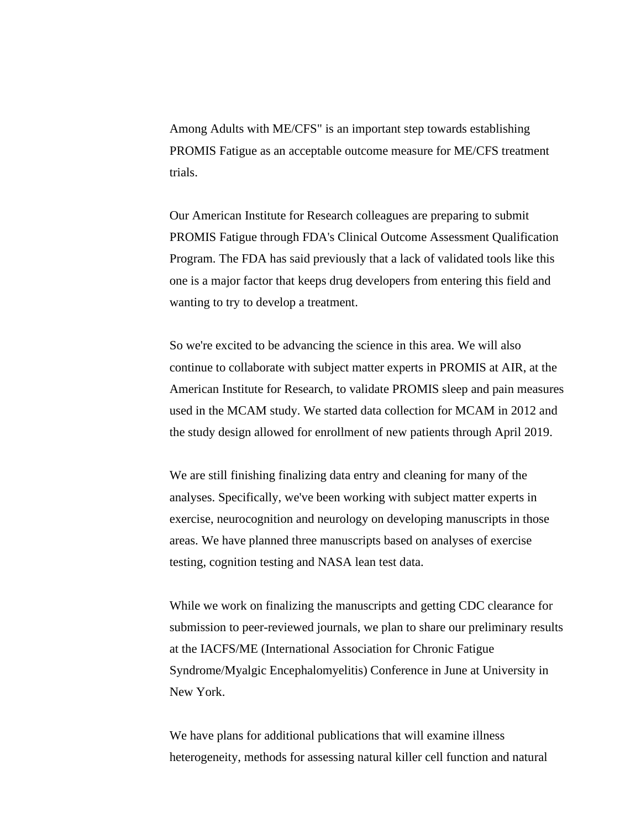Among Adults with ME/CFS" is an important step towards establishing PROMIS Fatigue as an acceptable outcome measure for ME/CFS treatment trials.

Our American Institute for Research colleagues are preparing to submit PROMIS Fatigue through FDA's Clinical Outcome Assessment Qualification Program. The FDA has said previously that a lack of validated tools like this one is a major factor that keeps drug developers from entering this field and wanting to try to develop a treatment.

So we're excited to be advancing the science in this area. We will also continue to collaborate with subject matter experts in PROMIS at AIR, at the American Institute for Research, to validate PROMIS sleep and pain measures used in the MCAM study. We started data collection for MCAM in 2012 and the study design allowed for enrollment of new patients through April 2019.

We are still finishing finalizing data entry and cleaning for many of the analyses. Specifically, we've been working with subject matter experts in exercise, neurocognition and neurology on developing manuscripts in those areas. We have planned three manuscripts based on analyses of exercise testing, cognition testing and NASA lean test data.

While we work on finalizing the manuscripts and getting CDC clearance for submission to peer-reviewed journals, we plan to share our preliminary results at the IACFS/ME (International Association for Chronic Fatigue Syndrome/Myalgic Encephalomyelitis) Conference in June at University in New York.

We have plans for additional publications that will examine illness heterogeneity, methods for assessing natural killer cell function and natural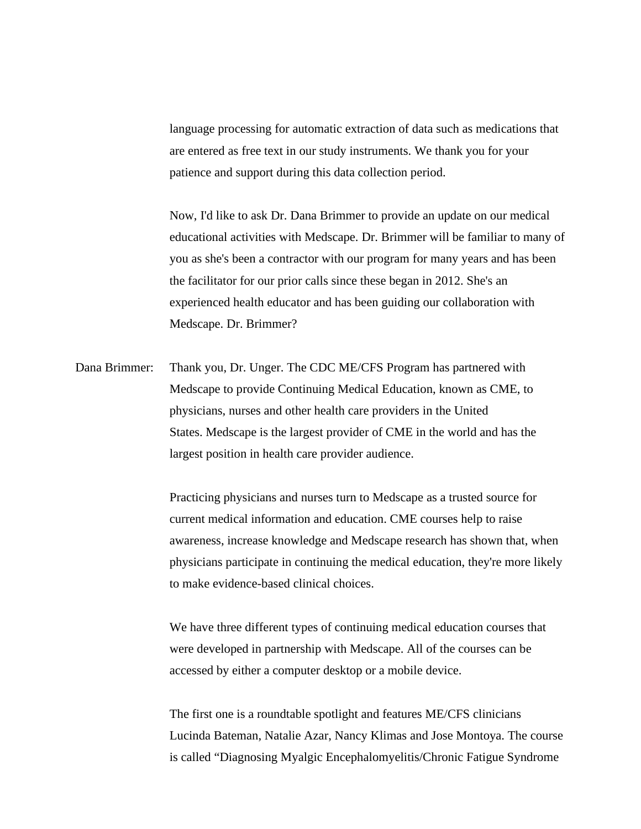language processing for automatic extraction of data such as medications that are entered as free text in our study instruments. We thank you for your patience and support during this data collection period.

Now, I'd like to ask Dr. Dana Brimmer to provide an update on our medical educational activities with Medscape. Dr. Brimmer will be familiar to many of you as she's been a contractor with our program for many years and has been the facilitator for our prior calls since these began in 2012. She's an experienced health educator and has been guiding our collaboration with Medscape. Dr. Brimmer?

Dana Brimmer: Thank you, Dr. Unger. The CDC ME/CFS Program has partnered with Medscape to provide Continuing Medical Education, known as CME, to physicians, nurses and other health care providers in the United States. Medscape is the largest provider of CME in the world and has the largest position in health care provider audience.

> Practicing physicians and nurses turn to Medscape as a trusted source for current medical information and education. CME courses help to raise awareness, increase knowledge and Medscape research has shown that, when physicians participate in continuing the medical education, they're more likely to make evidence-based clinical choices.

We have three different types of continuing medical education courses that were developed in partnership with Medscape. All of the courses can be accessed by either a computer desktop or a mobile device.

The first one is a roundtable spotlight and features ME/CFS clinicians Lucinda Bateman, Natalie Azar, Nancy Klimas and Jose Montoya. The course is called "Diagnosing Myalgic Encephalomyelitis/Chronic Fatigue Syndrome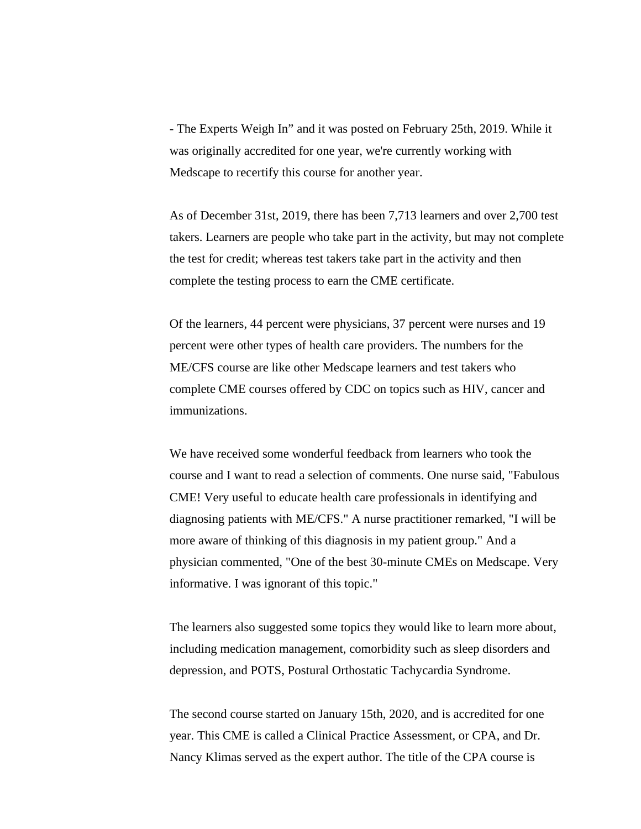- The Experts Weigh In" and it was posted on February 25th, 2019. While it was originally accredited for one year, we're currently working with Medscape to recertify this course for another year.

As of December 31st, 2019, there has been 7,713 learners and over 2,700 test takers. Learners are people who take part in the activity, but may not complete the test for credit; whereas test takers take part in the activity and then complete the testing process to earn the CME certificate.

Of the learners, 44 percent were physicians, 37 percent were nurses and 19 percent were other types of health care providers. The numbers for the ME/CFS course are like other Medscape learners and test takers who complete CME courses offered by CDC on topics such as HIV, cancer and immunizations.

We have received some wonderful feedback from learners who took the course and I want to read a selection of comments. One nurse said, "Fabulous CME! Very useful to educate health care professionals in identifying and diagnosing patients with ME/CFS." A nurse practitioner remarked, "I will be more aware of thinking of this diagnosis in my patient group." And a physician commented, "One of the best 30-minute CMEs on Medscape. Very informative. I was ignorant of this topic."

The learners also suggested some topics they would like to learn more about, including medication management, comorbidity such as sleep disorders and depression, and POTS, Postural Orthostatic Tachycardia Syndrome.

The second course started on January 15th, 2020, and is accredited for one year. This CME is called a Clinical Practice Assessment, or CPA, and Dr. Nancy Klimas served as the expert author. The title of the CPA course is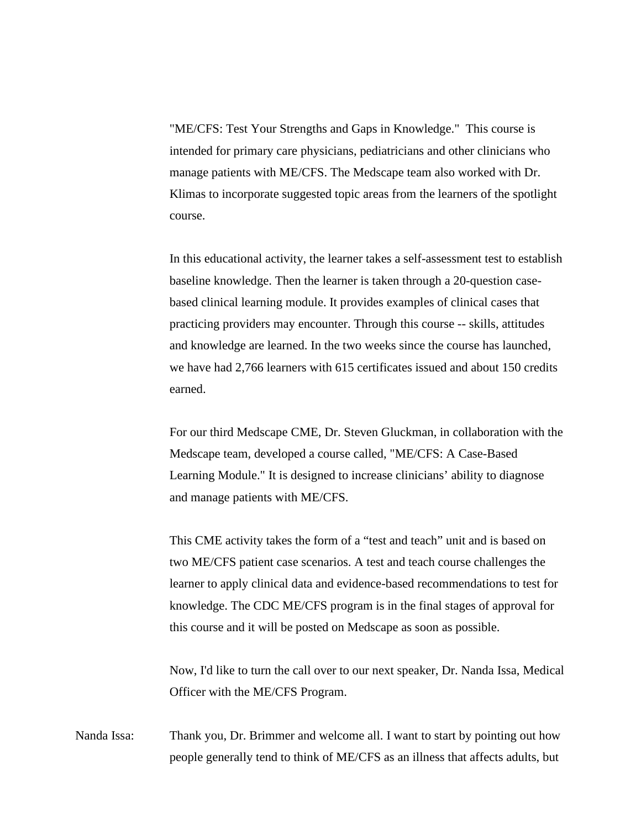"ME/CFS: Test Your Strengths and Gaps in Knowledge." This course is intended for primary care physicians, pediatricians and other clinicians who manage patients with ME/CFS. The Medscape team also worked with Dr. Klimas to incorporate suggested topic areas from the learners of the spotlight course.

In this educational activity, the learner takes a self-assessment test to establish baseline knowledge. Then the learner is taken through a 20-question casebased clinical learning module. It provides examples of clinical cases that practicing providers may encounter. Through this course -- skills, attitudes and knowledge are learned. In the two weeks since the course has launched, we have had 2,766 learners with 615 certificates issued and about 150 credits earned.

For our third Medscape CME, Dr. Steven Gluckman, in collaboration with the Medscape team, developed a course called, "ME/CFS: A Case-Based Learning Module." It is designed to increase clinicians' ability to diagnose and manage patients with ME/CFS.

This CME activity takes the form of a "test and teach" unit and is based on two ME/CFS patient case scenarios. A test and teach course challenges the learner to apply clinical data and evidence-based recommendations to test for knowledge. The CDC ME/CFS program is in the final stages of approval for this course and it will be posted on Medscape as soon as possible.

Now, I'd like to turn the call over to our next speaker, Dr. Nanda Issa, Medical Officer with the ME/CFS Program.

Nanda Issa: Thank you, Dr. Brimmer and welcome all. I want to start by pointing out how people generally tend to think of ME/CFS as an illness that affects adults, but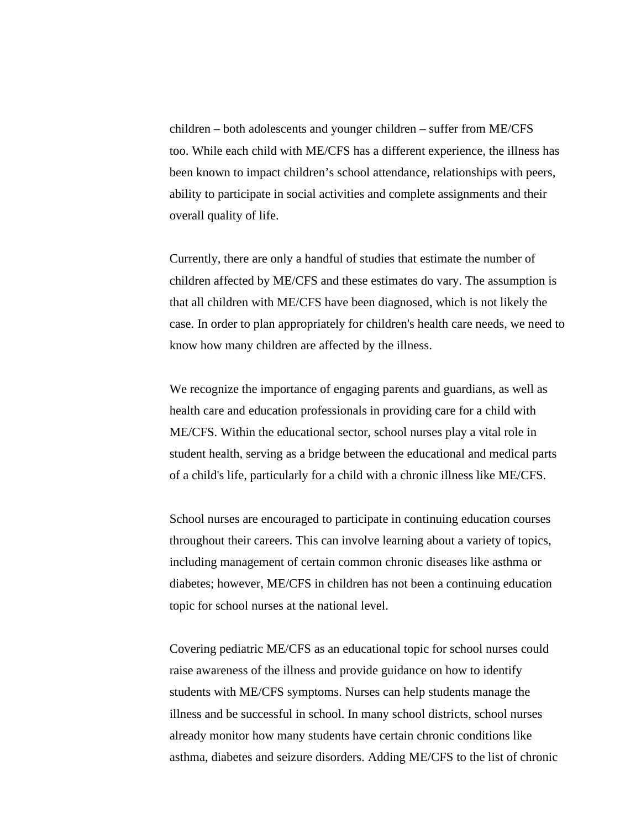children – both adolescents and younger children – suffer from ME/CFS too. While each child with ME/CFS has a different experience, the illness has been known to impact children's school attendance, relationships with peers, ability to participate in social activities and complete assignments and their overall quality of life.

Currently, there are only a handful of studies that estimate the number of children affected by ME/CFS and these estimates do vary. The assumption is that all children with ME/CFS have been diagnosed, which is not likely the case. In order to plan appropriately for children's health care needs, we need to know how many children are affected by the illness.

We recognize the importance of engaging parents and guardians, as well as health care and education professionals in providing care for a child with ME/CFS. Within the educational sector, school nurses play a vital role in student health, serving as a bridge between the educational and medical parts of a child's life, particularly for a child with a chronic illness like ME/CFS.

School nurses are encouraged to participate in continuing education courses throughout their careers. This can involve learning about a variety of topics, including management of certain common chronic diseases like asthma or diabetes; however, ME/CFS in children has not been a continuing education topic for school nurses at the national level.

Covering pediatric ME/CFS as an educational topic for school nurses could raise awareness of the illness and provide guidance on how to identify students with ME/CFS symptoms. Nurses can help students manage the illness and be successful in school. In many school districts, school nurses already monitor how many students have certain chronic conditions like asthma, diabetes and seizure disorders. Adding ME/CFS to the list of chronic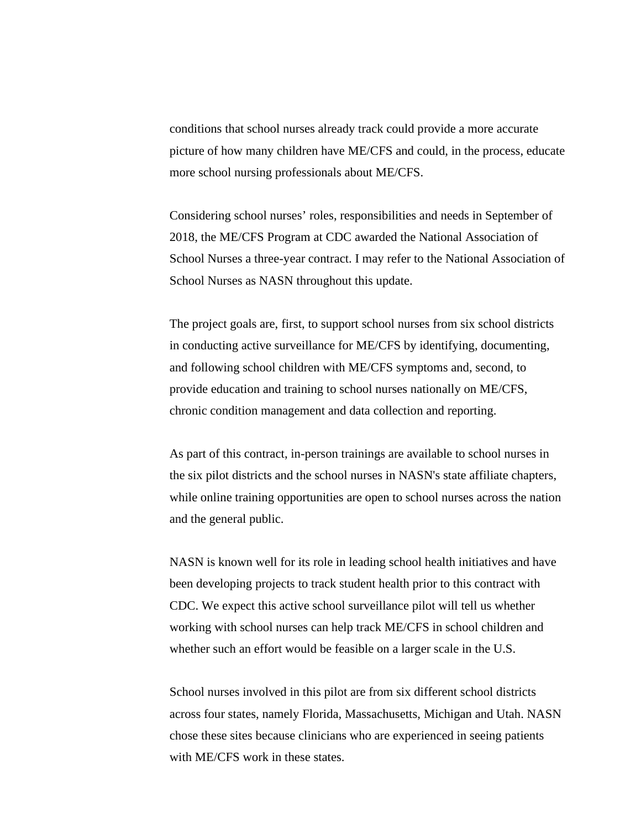conditions that school nurses already track could provide a more accurate picture of how many children have ME/CFS and could, in the process, educate more school nursing professionals about ME/CFS.

Considering school nurses' roles, responsibilities and needs in September of 2018, the ME/CFS Program at CDC awarded the National Association of School Nurses a three-year contract. I may refer to the National Association of School Nurses as NASN throughout this update.

The project goals are, first, to support school nurses from six school districts in conducting active surveillance for ME/CFS by identifying, documenting, and following school children with ME/CFS symptoms and, second, to provide education and training to school nurses nationally on ME/CFS, chronic condition management and data collection and reporting.

As part of this contract, in-person trainings are available to school nurses in the six pilot districts and the school nurses in NASN's state affiliate chapters, while online training opportunities are open to school nurses across the nation and the general public.

NASN is known well for its role in leading school health initiatives and have been developing projects to track student health prior to this contract with CDC. We expect this active school surveillance pilot will tell us whether working with school nurses can help track ME/CFS in school children and whether such an effort would be feasible on a larger scale in the U.S.

School nurses involved in this pilot are from six different school districts across four states, namely Florida, Massachusetts, Michigan and Utah. NASN chose these sites because clinicians who are experienced in seeing patients with ME/CFS work in these states.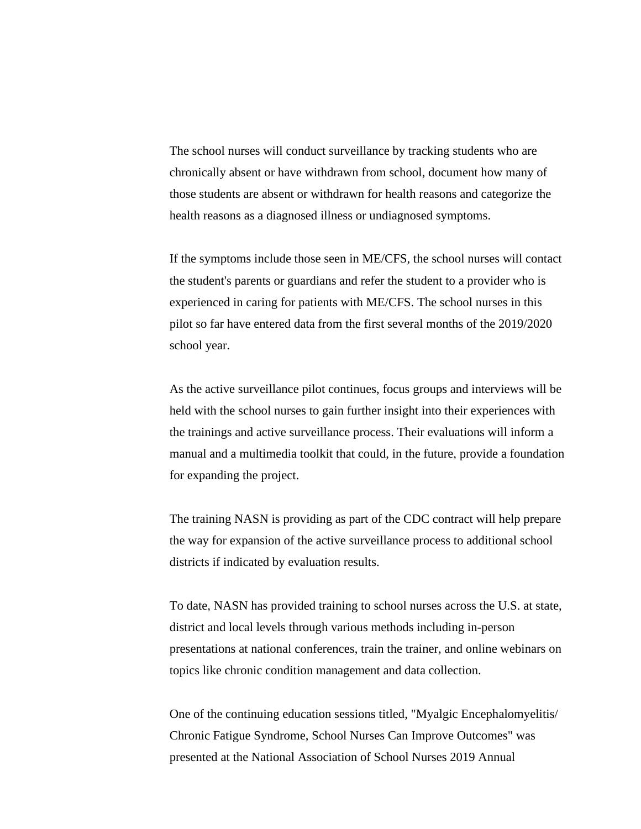The school nurses will conduct surveillance by tracking students who are chronically absent or have withdrawn from school, document how many of those students are absent or withdrawn for health reasons and categorize the health reasons as a diagnosed illness or undiagnosed symptoms.

If the symptoms include those seen in ME/CFS, the school nurses will contact the student's parents or guardians and refer the student to a provider who is experienced in caring for patients with ME/CFS. The school nurses in this pilot so far have entered data from the first several months of the 2019/2020 school year.

As the active surveillance pilot continues, focus groups and interviews will be held with the school nurses to gain further insight into their experiences with the trainings and active surveillance process. Their evaluations will inform a manual and a multimedia toolkit that could, in the future, provide a foundation for expanding the project.

The training NASN is providing as part of the CDC contract will help prepare the way for expansion of the active surveillance process to additional school districts if indicated by evaluation results.

To date, NASN has provided training to school nurses across the U.S. at state, district and local levels through various methods including in-person presentations at national conferences, train the trainer, and online webinars on topics like chronic condition management and data collection.

One of the continuing education sessions titled, "Myalgic Encephalomyelitis/ Chronic Fatigue Syndrome, School Nurses Can Improve Outcomes" was presented at the National Association of School Nurses 2019 Annual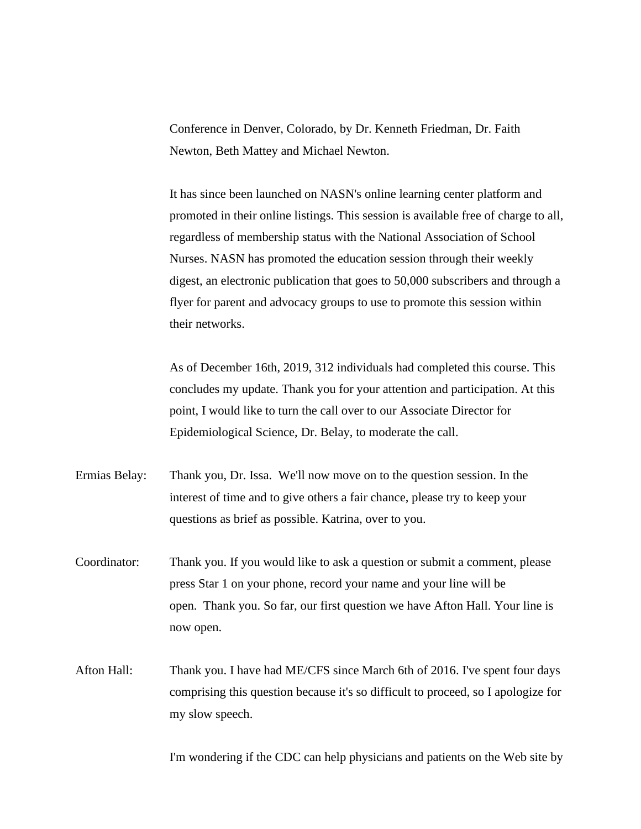Conference in Denver, Colorado, by Dr. Kenneth Friedman, Dr. Faith Newton, Beth Mattey and Michael Newton.

It has since been launched on NASN's online learning center platform and promoted in their online listings. This session is available free of charge to all, regardless of membership status with the National Association of School Nurses. NASN has promoted the education session through their weekly digest, an electronic publication that goes to 50,000 subscribers and through a flyer for parent and advocacy groups to use to promote this session within their networks.

As of December 16th, 2019, 312 individuals had completed this course. This concludes my update. Thank you for your attention and participation. At this point, I would like to turn the call over to our Associate Director for Epidemiological Science, Dr. Belay, to moderate the call.

Ermias Belay: Thank you, Dr. Issa. We'll now move on to the question session. In the interest of time and to give others a fair chance, please try to keep your questions as brief as possible. Katrina, over to you.

- Coordinator: Thank you. If you would like to ask a question or submit a comment, please press Star 1 on your phone, record your name and your line will be open. Thank you. So far, our first question we have Afton Hall. Your line is now open.
- Afton Hall: Thank you. I have had ME/CFS since March 6th of 2016. I've spent four days comprising this question because it's so difficult to proceed, so I apologize for my slow speech.

I'm wondering if the CDC can help physicians and patients on the Web site by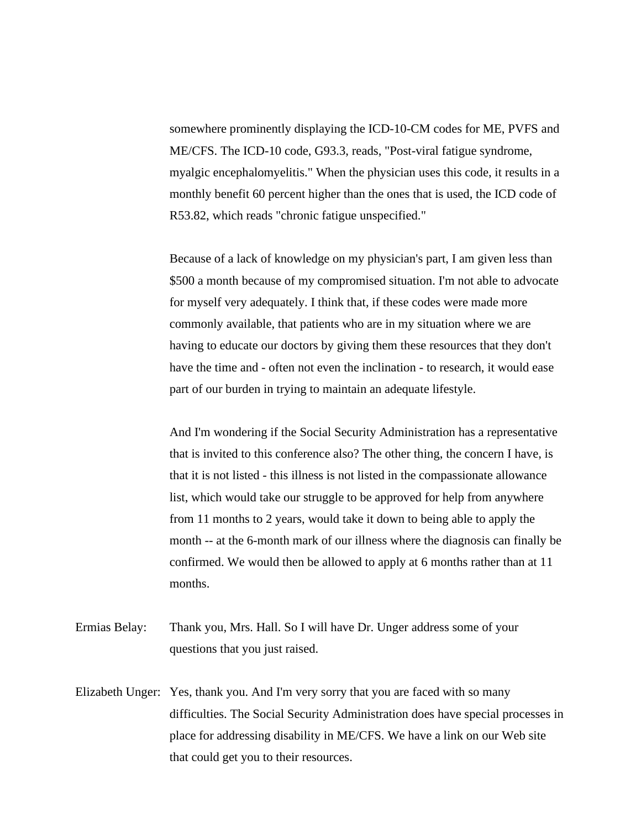somewhere prominently displaying the ICD-10-CM codes for ME, PVFS and ME/CFS. The ICD-10 code, G93.3, reads, "Post-viral fatigue syndrome, myalgic encephalomyelitis." When the physician uses this code, it results in a monthly benefit 60 percent higher than the ones that is used, the ICD code of R53.82, which reads "chronic fatigue unspecified."

Because of a lack of knowledge on my physician's part, I am given less than \$500 a month because of my compromised situation. I'm not able to advocate for myself very adequately. I think that, if these codes were made more commonly available, that patients who are in my situation where we are having to educate our doctors by giving them these resources that they don't have the time and - often not even the inclination - to research, it would ease part of our burden in trying to maintain an adequate lifestyle.

And I'm wondering if the Social Security Administration has a representative that is invited to this conference also? The other thing, the concern I have, is that it is not listed - this illness is not listed in the compassionate allowance list, which would take our struggle to be approved for help from anywhere from 11 months to 2 years, would take it down to being able to apply the month -- at the 6-month mark of our illness where the diagnosis can finally be confirmed. We would then be allowed to apply at 6 months rather than at 11 months.

- Ermias Belay: Thank you, Mrs. Hall. So I will have Dr. Unger address some of your questions that you just raised.
- Elizabeth Unger: Yes, thank you. And I'm very sorry that you are faced with so many difficulties. The Social Security Administration does have special processes in place for addressing disability in ME/CFS. We have a link on our Web site that could get you to their resources.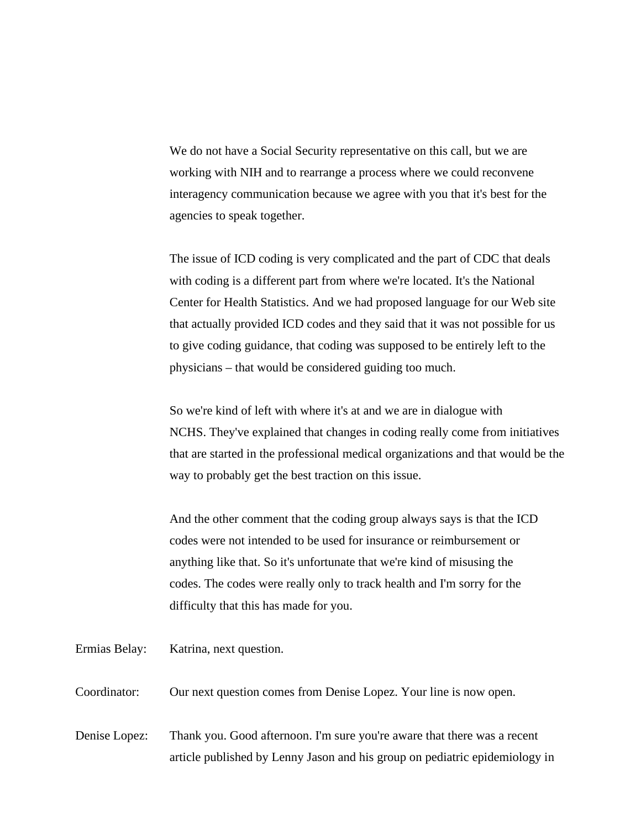We do not have a Social Security representative on this call, but we are working with NIH and to rearrange a process where we could reconvene interagency communication because we agree with you that it's best for the agencies to speak together.

The issue of ICD coding is very complicated and the part of CDC that deals with coding is a different part from where we're located. It's the National Center for Health Statistics. And we had proposed language for our Web site that actually provided ICD codes and they said that it was not possible for us to give coding guidance, that coding was supposed to be entirely left to the physicians – that would be considered guiding too much.

So we're kind of left with where it's at and we are in dialogue with NCHS. They've explained that changes in coding really come from initiatives that are started in the professional medical organizations and that would be the way to probably get the best traction on this issue.

And the other comment that the coding group always says is that the ICD codes were not intended to be used for insurance or reimbursement or anything like that. So it's unfortunate that we're kind of misusing the codes. The codes were really only to track health and I'm sorry for the difficulty that this has made for you.

Ermias Belay: Katrina, next question.

Coordinator: Our next question comes from Denise Lopez. Your line is now open.

Denise Lopez: Thank you. Good afternoon. I'm sure you're aware that there was a recent article published by Lenny Jason and his group on pediatric epidemiology in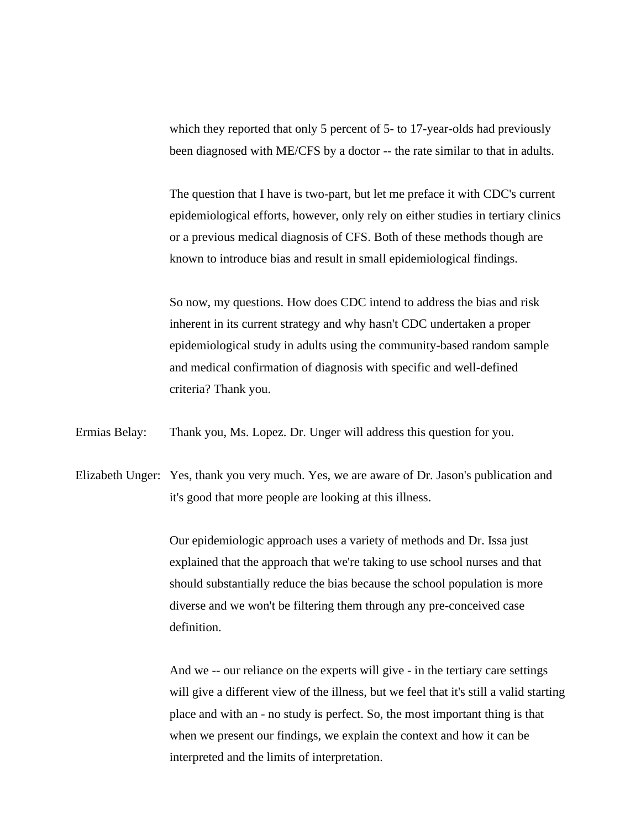which they reported that only 5 percent of 5- to 17-year-olds had previously been diagnosed with ME/CFS by a doctor -- the rate similar to that in adults.

The question that I have is two-part, but let me preface it with CDC's current epidemiological efforts, however, only rely on either studies in tertiary clinics or a previous medical diagnosis of CFS. Both of these methods though are known to introduce bias and result in small epidemiological findings.

So now, my questions. How does CDC intend to address the bias and risk inherent in its current strategy and why hasn't CDC undertaken a proper epidemiological study in adults using the community-based random sample and medical confirmation of diagnosis with specific and well-defined criteria? Thank you.

Ermias Belay: Thank you, Ms. Lopez. Dr. Unger will address this question for you.

Elizabeth Unger: Yes, thank you very much. Yes, we are aware of Dr. Jason's publication and it's good that more people are looking at this illness.

> Our epidemiologic approach uses a variety of methods and Dr. Issa just explained that the approach that we're taking to use school nurses and that should substantially reduce the bias because the school population is more diverse and we won't be filtering them through any pre-conceived case definition.

And we -- our reliance on the experts will give - in the tertiary care settings will give a different view of the illness, but we feel that it's still a valid starting place and with an - no study is perfect. So, the most important thing is that when we present our findings, we explain the context and how it can be interpreted and the limits of interpretation.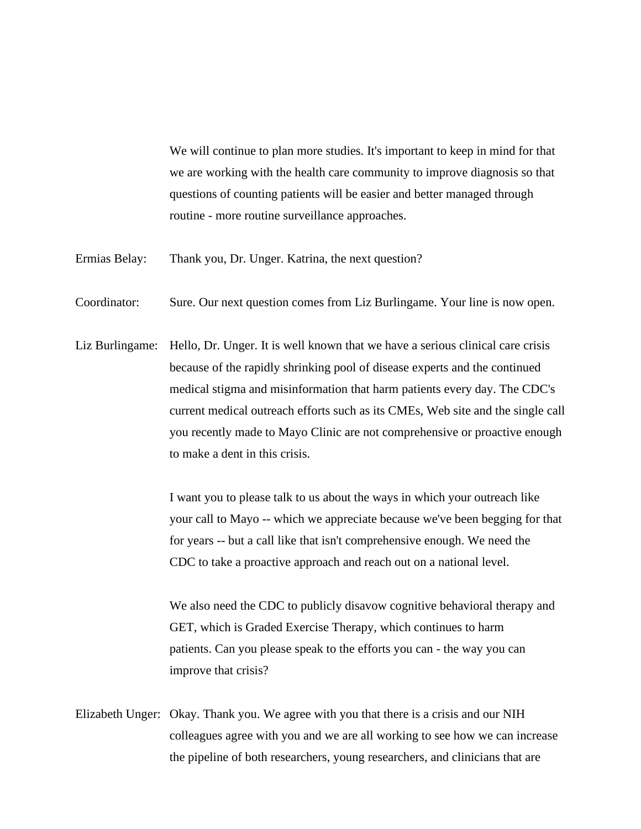We will continue to plan more studies. It's important to keep in mind for that we are working with the health care community to improve diagnosis so that questions of counting patients will be easier and better managed through routine - more routine surveillance approaches.

- Ermias Belay: Thank you, Dr. Unger. Katrina, the next question?
- Coordinator: Sure. Our next question comes from Liz Burlingame. Your line is now open.
- Liz Burlingame: Hello, Dr. Unger. It is well known that we have a serious clinical care crisis because of the rapidly shrinking pool of disease experts and the continued medical stigma and misinformation that harm patients every day. The CDC's current medical outreach efforts such as its CMEs, Web site and the single call you recently made to Mayo Clinic are not comprehensive or proactive enough to make a dent in this crisis.

I want you to please talk to us about the ways in which your outreach like your call to Mayo -- which we appreciate because we've been begging for that for years -- but a call like that isn't comprehensive enough. We need the CDC to take a proactive approach and reach out on a national level.

We also need the CDC to publicly disavow cognitive behavioral therapy and GET, which is Graded Exercise Therapy, which continues to harm patients. Can you please speak to the efforts you can - the way you can improve that crisis?

Elizabeth Unger: Okay. Thank you. We agree with you that there is a crisis and our NIH colleagues agree with you and we are all working to see how we can increase the pipeline of both researchers, young researchers, and clinicians that are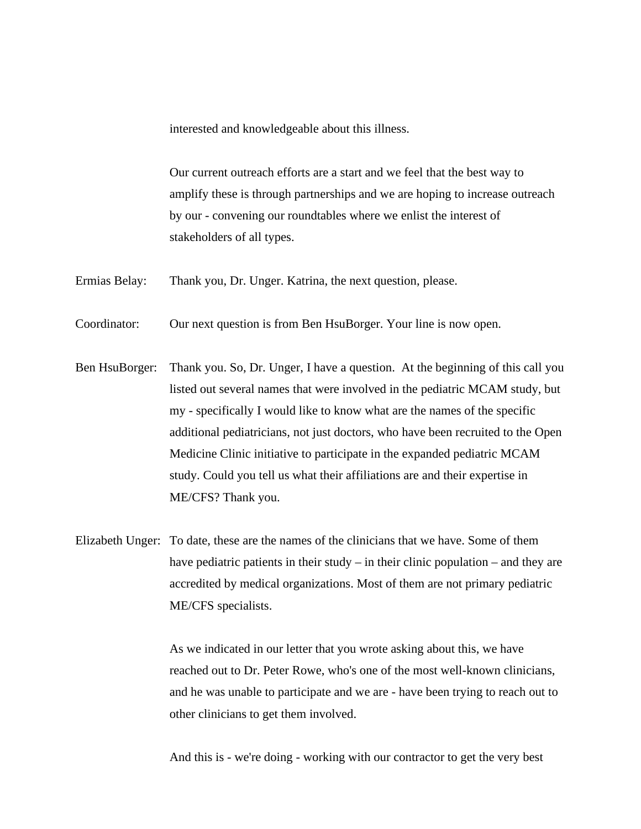interested and knowledgeable about this illness.

Our current outreach efforts are a start and we feel that the best way to amplify these is through partnerships and we are hoping to increase outreach by our - convening our roundtables where we enlist the interest of stakeholders of all types.

Ermias Belay: Thank you, Dr. Unger. Katrina, the next question, please.

Coordinator: Our next question is from Ben HsuBorger. Your line is now open.

Ben HsuBorger: Thank you. So, Dr. Unger, I have a question. At the beginning of this call you listed out several names that were involved in the pediatric MCAM study, but my - specifically I would like to know what are the names of the specific additional pediatricians, not just doctors, who have been recruited to the Open Medicine Clinic initiative to participate in the expanded pediatric MCAM study. Could you tell us what their affiliations are and their expertise in ME/CFS? Thank you.

Elizabeth Unger: To date, these are the names of the clinicians that we have. Some of them have pediatric patients in their study – in their clinic population – and they are accredited by medical organizations. Most of them are not primary pediatric ME/CFS specialists.

> As we indicated in our letter that you wrote asking about this, we have reached out to Dr. Peter Rowe, who's one of the most well-known clinicians, and he was unable to participate and we are - have been trying to reach out to other clinicians to get them involved.

And this is - we're doing - working with our contractor to get the very best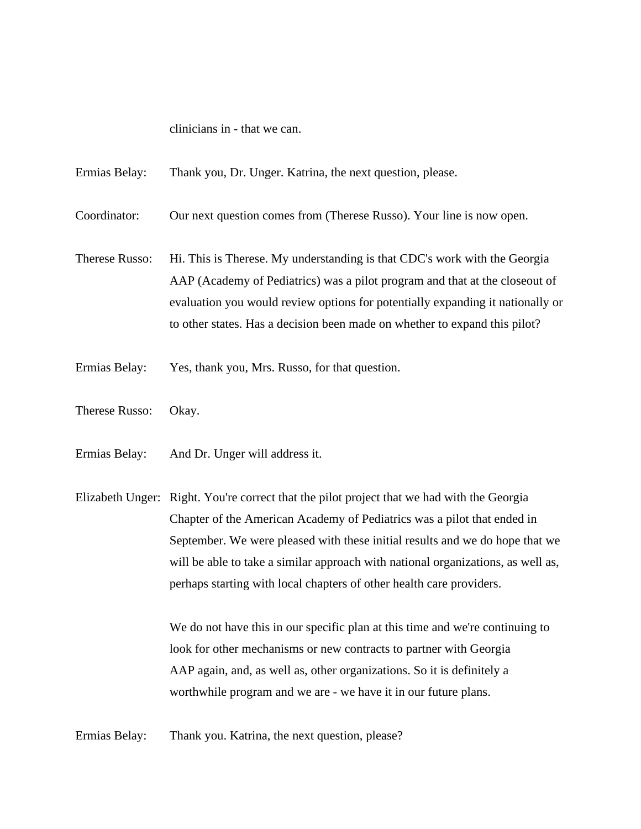clinicians in - that we can.

Ermias Belay: Thank you, Dr. Unger. Katrina, the next question, please.

Coordinator: Our next question comes from (Therese Russo). Your line is now open.

Therese Russo: Hi. This is Therese. My understanding is that CDC's work with the Georgia AAP (Academy of Pediatrics) was a pilot program and that at the closeout of evaluation you would review options for potentially expanding it nationally or to other states. Has a decision been made on whether to expand this pilot?

Ermias Belay: Yes, thank you, Mrs. Russo, for that question.

Therese Russo: Okay.

Ermias Belay: And Dr. Unger will address it.

Elizabeth Unger: Right. You're correct that the pilot project that we had with the Georgia Chapter of the American Academy of Pediatrics was a pilot that ended in September. We were pleased with these initial results and we do hope that we will be able to take a similar approach with national organizations, as well as, perhaps starting with local chapters of other health care providers.

> We do not have this in our specific plan at this time and we're continuing to look for other mechanisms or new contracts to partner with Georgia AAP again, and, as well as, other organizations. So it is definitely a worthwhile program and we are - we have it in our future plans.

Ermias Belay: Thank you. Katrina, the next question, please?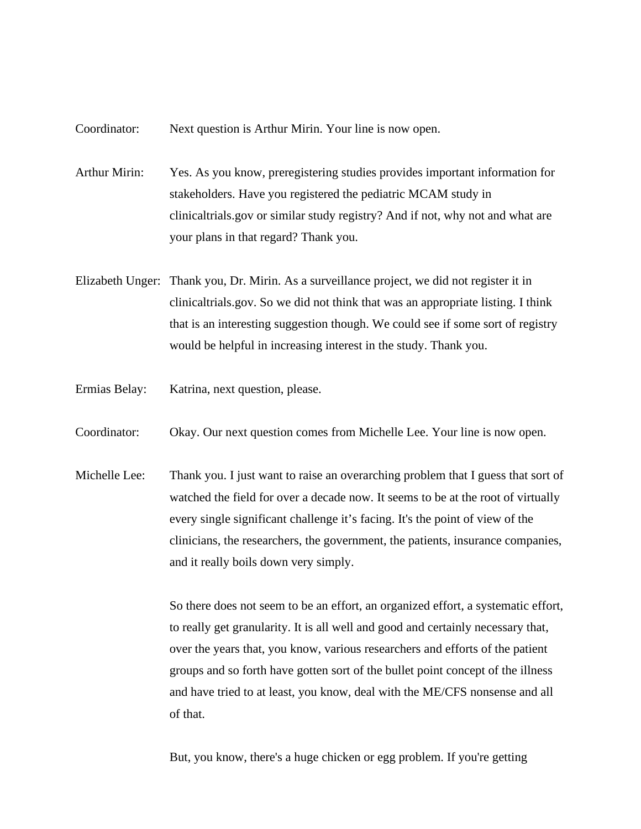## Coordinator: Next question is Arthur Mirin. Your line is now open.

Arthur Mirin: Yes. As you know, preregistering studies provides important information for stakeholders. Have you registered the pediatric MCAM study in clinicaltrials.gov or similar study registry? And if not, why not and what are your plans in that regard? Thank you.

- Elizabeth Unger: Thank you, Dr. Mirin. As a surveillance project, we did not register it in clinicaltrials.gov. So we did not think that was an appropriate listing. I think that is an interesting suggestion though. We could see if some sort of registry would be helpful in increasing interest in the study. Thank you.
- Ermias Belay: Katrina, next question, please.
- Coordinator: Okay. Our next question comes from Michelle Lee. Your line is now open.
- Michelle Lee: Thank you. I just want to raise an overarching problem that I guess that sort of watched the field for over a decade now. It seems to be at the root of virtually every single significant challenge it's facing. It's the point of view of the clinicians, the researchers, the government, the patients, insurance companies, and it really boils down very simply.

So there does not seem to be an effort, an organized effort, a systematic effort, to really get granularity. It is all well and good and certainly necessary that, over the years that, you know, various researchers and efforts of the patient groups and so forth have gotten sort of the bullet point concept of the illness and have tried to at least, you know, deal with the ME/CFS nonsense and all of that.

But, you know, there's a huge chicken or egg problem. If you're getting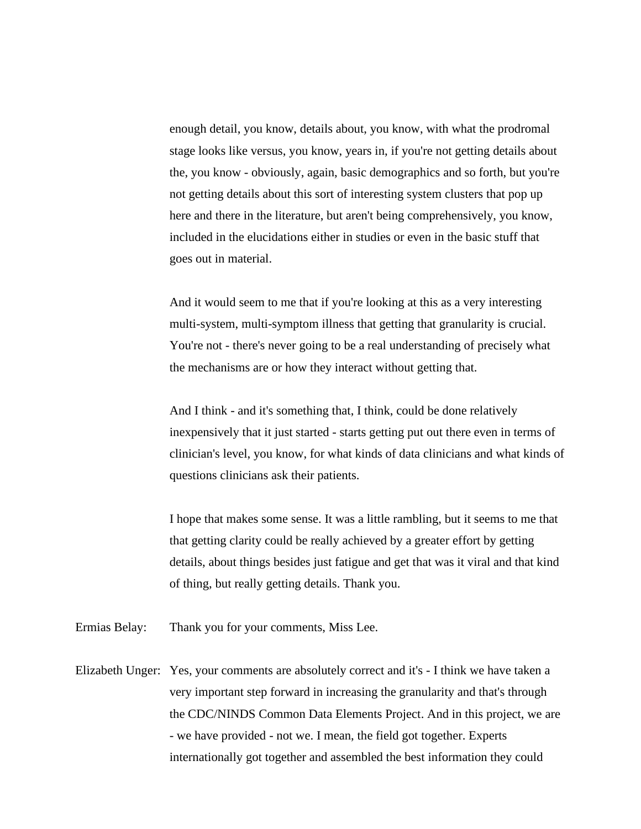enough detail, you know, details about, you know, with what the prodromal stage looks like versus, you know, years in, if you're not getting details about the, you know - obviously, again, basic demographics and so forth, but you're not getting details about this sort of interesting system clusters that pop up here and there in the literature, but aren't being comprehensively, you know, included in the elucidations either in studies or even in the basic stuff that goes out in material.

And it would seem to me that if you're looking at this as a very interesting multi-system, multi-symptom illness that getting that granularity is crucial. You're not - there's never going to be a real understanding of precisely what the mechanisms are or how they interact without getting that.

And I think - and it's something that, I think, could be done relatively inexpensively that it just started - starts getting put out there even in terms of clinician's level, you know, for what kinds of data clinicians and what kinds of questions clinicians ask their patients.

I hope that makes some sense. It was a little rambling, but it seems to me that that getting clarity could be really achieved by a greater effort by getting details, about things besides just fatigue and get that was it viral and that kind of thing, but really getting details. Thank you.

Ermias Belay: Thank you for your comments, Miss Lee.

Elizabeth Unger: Yes, your comments are absolutely correct and it's - I think we have taken a very important step forward in increasing the granularity and that's through the CDC/NINDS Common Data Elements Project. And in this project, we are - we have provided - not we. I mean, the field got together. Experts internationally got together and assembled the best information they could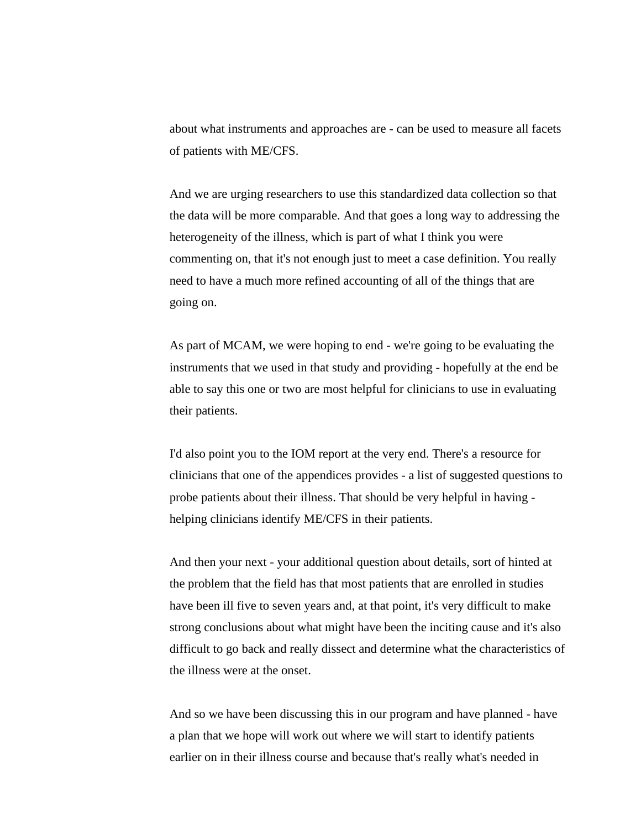about what instruments and approaches are - can be used to measure all facets of patients with ME/CFS.

And we are urging researchers to use this standardized data collection so that the data will be more comparable. And that goes a long way to addressing the heterogeneity of the illness, which is part of what I think you were commenting on, that it's not enough just to meet a case definition. You really need to have a much more refined accounting of all of the things that are going on.

As part of MCAM, we were hoping to end - we're going to be evaluating the instruments that we used in that study and providing - hopefully at the end be able to say this one or two are most helpful for clinicians to use in evaluating their patients.

I'd also point you to the IOM report at the very end. There's a resource for clinicians that one of the appendices provides - a list of suggested questions to probe patients about their illness. That should be very helpful in having helping clinicians identify ME/CFS in their patients.

And then your next - your additional question about details, sort of hinted at the problem that the field has that most patients that are enrolled in studies have been ill five to seven years and, at that point, it's very difficult to make strong conclusions about what might have been the inciting cause and it's also difficult to go back and really dissect and determine what the characteristics of the illness were at the onset.

And so we have been discussing this in our program and have planned - have a plan that we hope will work out where we will start to identify patients earlier on in their illness course and because that's really what's needed in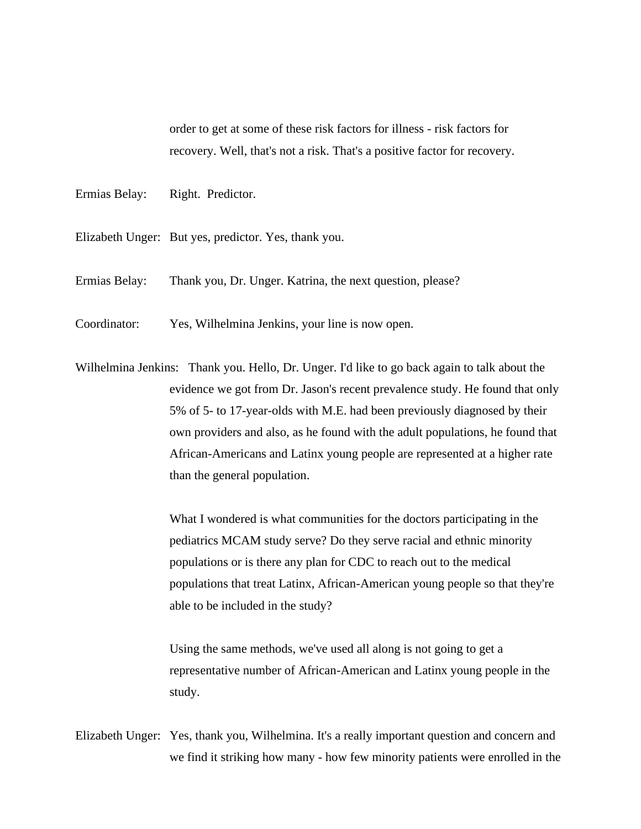order to get at some of these risk factors for illness - risk factors for recovery. Well, that's not a risk. That's a positive factor for recovery.

- Ermias Belay: Right. Predictor.
- Elizabeth Unger: But yes, predictor. Yes, thank you.
- Ermias Belay: Thank you, Dr. Unger. Katrina, the next question, please?
- Coordinator: Yes, Wilhelmina Jenkins, your line is now open.
- Wilhelmina Jenkins: Thank you. Hello, Dr. Unger. I'd like to go back again to talk about the evidence we got from Dr. Jason's recent prevalence study. He found that only 5% of 5- to 17-year-olds with M.E. had been previously diagnosed by their own providers and also, as he found with the adult populations, he found that African-Americans and Latinx young people are represented at a higher rate than the general population.

What I wondered is what communities for the doctors participating in the pediatrics MCAM study serve? Do they serve racial and ethnic minority populations or is there any plan for CDC to reach out to the medical populations that treat Latinx, African-American young people so that they're able to be included in the study?

Using the same methods, we've used all along is not going to get a representative number of African-American and Latinx young people in the study.

Elizabeth Unger: Yes, thank you, Wilhelmina. It's a really important question and concern and we find it striking how many - how few minority patients were enrolled in the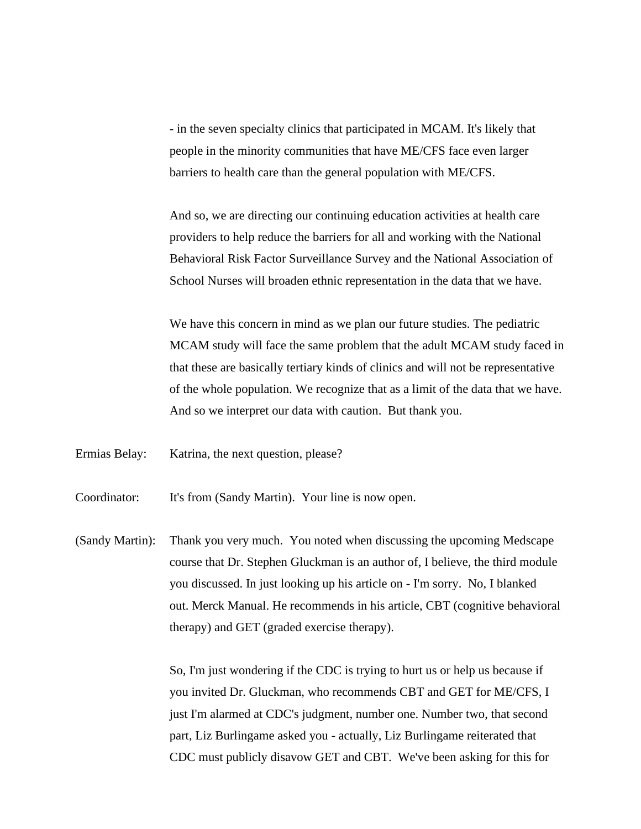- in the seven specialty clinics that participated in MCAM. It's likely that people in the minority communities that have ME/CFS face even larger barriers to health care than the general population with ME/CFS.

And so, we are directing our continuing education activities at health care providers to help reduce the barriers for all and working with the National Behavioral Risk Factor Surveillance Survey and the National Association of School Nurses will broaden ethnic representation in the data that we have.

We have this concern in mind as we plan our future studies. The pediatric MCAM study will face the same problem that the adult MCAM study faced in that these are basically tertiary kinds of clinics and will not be representative of the whole population. We recognize that as a limit of the data that we have. And so we interpret our data with caution. But thank you.

Ermias Belay: Katrina, the next question, please?

Coordinator: It's from (Sandy Martin). Your line is now open.

(Sandy Martin): Thank you very much. You noted when discussing the upcoming Medscape course that Dr. Stephen Gluckman is an author of, I believe, the third module you discussed. In just looking up his article on - I'm sorry. No, I blanked out. Merck Manual. He recommends in his article, CBT (cognitive behavioral therapy) and GET (graded exercise therapy).

> So, I'm just wondering if the CDC is trying to hurt us or help us because if you invited Dr. Gluckman, who recommends CBT and GET for ME/CFS, I just I'm alarmed at CDC's judgment, number one. Number two, that second part, Liz Burlingame asked you - actually, Liz Burlingame reiterated that CDC must publicly disavow GET and CBT. We've been asking for this for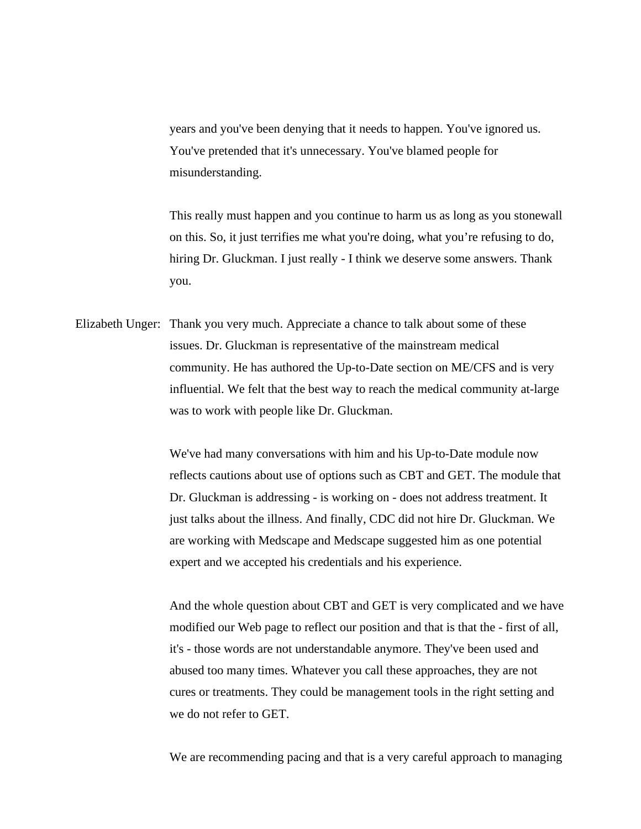years and you've been denying that it needs to happen. You've ignored us. You've pretended that it's unnecessary. You've blamed people for misunderstanding.

This really must happen and you continue to harm us as long as you stonewall on this. So, it just terrifies me what you're doing, what you're refusing to do, hiring Dr. Gluckman. I just really - I think we deserve some answers. Thank you.

Elizabeth Unger: Thank you very much. Appreciate a chance to talk about some of these issues. Dr. Gluckman is representative of the mainstream medical community. He has authored the Up-to-Date section on ME/CFS and is very influential. We felt that the best way to reach the medical community at-large was to work with people like Dr. Gluckman.

> We've had many conversations with him and his Up-to-Date module now reflects cautions about use of options such as CBT and GET. The module that Dr. Gluckman is addressing - is working on - does not address treatment. It just talks about the illness. And finally, CDC did not hire Dr. Gluckman. We are working with Medscape and Medscape suggested him as one potential expert and we accepted his credentials and his experience.

> And the whole question about CBT and GET is very complicated and we have modified our Web page to reflect our position and that is that the - first of all, it's - those words are not understandable anymore. They've been used and abused too many times. Whatever you call these approaches, they are not cures or treatments. They could be management tools in the right setting and we do not refer to GET.

> We are recommending pacing and that is a very careful approach to managing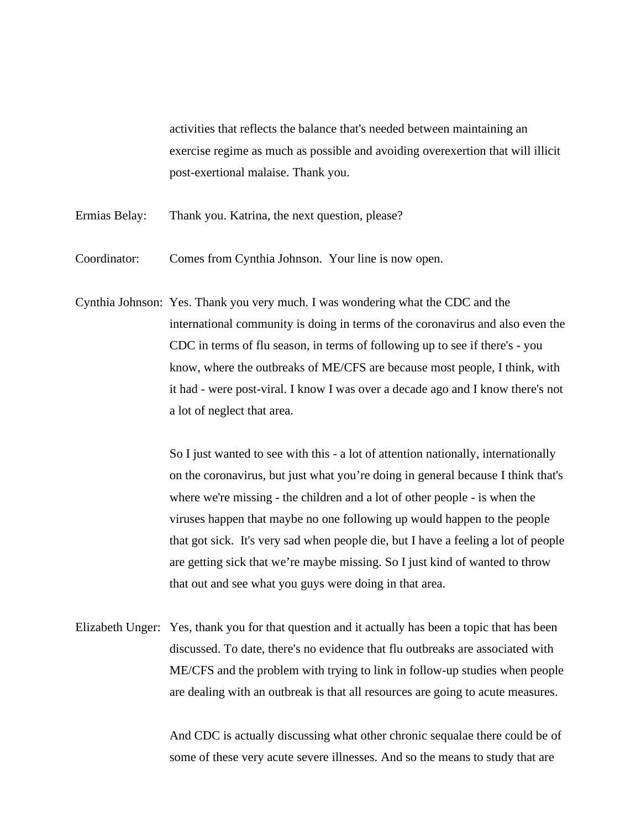activities that reflects the balance that's needed between maintaining an exercise regime as much as possible and avoiding overexertion that will illicit post-exertional malaise. Thank you.

- Ermias Belay: Thank you. Katrina, the next question, please?
- Coordinator: Comes from Cynthia Johnson. Your line is now open.
- Cynthia Johnson: Yes. Thank you very much. I was wondering what the CDC and the international community is doing in terms of the coronavirus and also even the CDC in terms of flu season, in terms of following up to see if there's - you know, where the outbreaks of ME/CFS are because most people, I think, with it had - were post-viral. I know I was over a decade ago and I know there's not a lot of neglect that area.

So I just wanted to see with this - a lot of attention nationally, internationally on the coronavirus, but just what you're doing in general because I think that's where we're missing - the children and a lot of other people - is when the viruses happen that maybe no one following up would happen to the people that got sick. It's very sad when people die, but I have a feeling a lot of people are getting sick that we're maybe missing. So I just kind of wanted to throw that out and see what you guys were doing in that area.

Elizabeth Unger: Yes, thank you for that question and it actually has been a topic that has been discussed. To date, there's no evidence that flu outbreaks are associated with ME/CFS and the problem with trying to link in follow-up studies when people are dealing with an outbreak is that all resources are going to acute measures.

> And CDC is actually discussing what other chronic sequalae there could be of some of these very acute severe illnesses. And so the means to study that are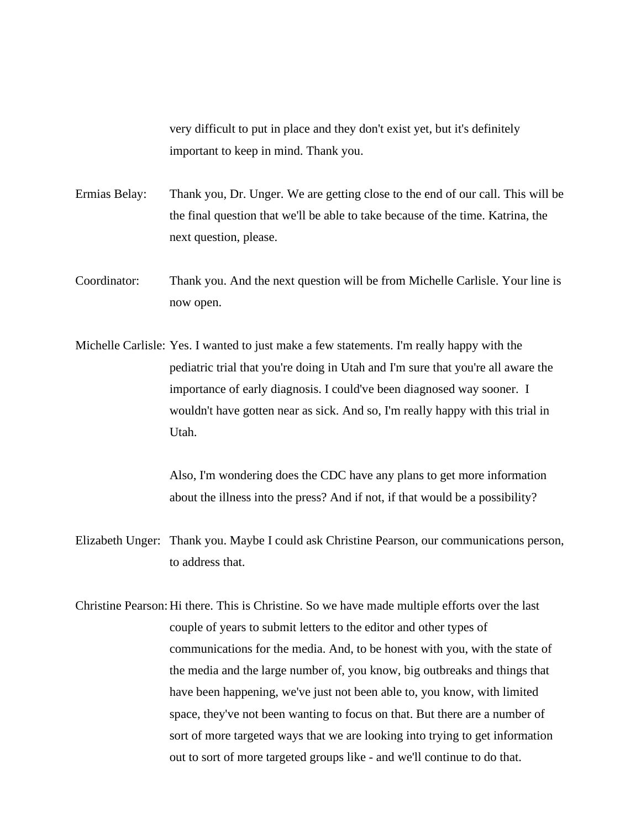very difficult to put in place and they don't exist yet, but it's definitely important to keep in mind. Thank you.

- Ermias Belay: Thank you, Dr. Unger. We are getting close to the end of our call. This will be the final question that we'll be able to take because of the time. Katrina, the next question, please.
- Coordinator: Thank you. And the next question will be from Michelle Carlisle. Your line is now open.
- Michelle Carlisle: Yes. I wanted to just make a few statements. I'm really happy with the pediatric trial that you're doing in Utah and I'm sure that you're all aware the importance of early diagnosis. I could've been diagnosed way sooner. I wouldn't have gotten near as sick. And so, I'm really happy with this trial in Utah.

Also, I'm wondering does the CDC have any plans to get more information about the illness into the press? And if not, if that would be a possibility?

- Elizabeth Unger: Thank you. Maybe I could ask Christine Pearson, our communications person, to address that.
- Christine Pearson:Hi there. This is Christine. So we have made multiple efforts over the last couple of years to submit letters to the editor and other types of communications for the media. And, to be honest with you, with the state of the media and the large number of, you know, big outbreaks and things that have been happening, we've just not been able to, you know, with limited space, they've not been wanting to focus on that. But there are a number of sort of more targeted ways that we are looking into trying to get information out to sort of more targeted groups like - and we'll continue to do that.